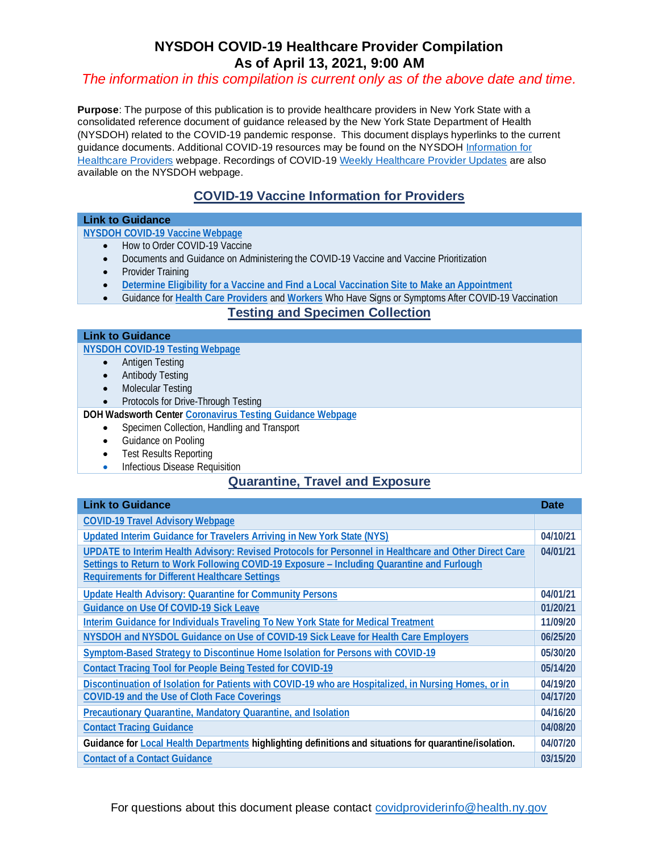## **NYSDOH COVID-19 Healthcare Provider Compilation As of April 13, 2021, 9:00 AM**

#### *The information in this compilation is current only as of the above date and time.*

**Purpose**: The purpose of this publication is to provide healthcare providers in New York State with a consolidated reference document of guidance released by the New York State Department of Health (NYSDOH) related to the COVID-19 pandemic response. This document displays hyperlinks to the current guidance documents. Additional COVID-19 resources may be found on the NYSDO[H Information for](https://coronavirus.health.ny.gov/information-healthcare-providers)  [Healthcare Providers](https://coronavirus.health.ny.gov/information-healthcare-providers) webpage. Recordings of COVID-1[9 Weekly Healthcare Provider Updates](https://coronavirus.health.ny.gov/weekly-healthcare-provider-update) are also available on the NYSDOH webpage.

## **COVID-19 Vaccine Information for Providers**

#### **Link to Guidance**

#### **[NYSDOH COVID-19 Vaccine Webpage](https://coronavirus.health.ny.gov/covid-19-vaccine-information-providers)**

- How to Order COVID-19 Vaccine
- Documents and Guidance on Administering the COVID-19 Vaccine and Vaccine Prioritization
- Provider Training
- **[Determine Eligibility for a Vaccine and Find a Local Vaccination Site to Make an Appointment](https://am-i-eligible-qa.covid19vaccine.health.ny.gov/)**
- Guidance for **[Health Care Providers](https://coronavirus.health.ny.gov/system/files/documents/2021/03/hcp_symptoms-after-vaccine_021121.pdf)** and **[Workers](https://coronavirus.health.ny.gov/system/files/documents/2021/03/17032_symptoms-after-vaccination_algorithm_general-public_021821.pdf)** Who Have Signs or Symptoms After COVID-19 Vaccination

#### **Testing and Specimen Collection**

#### **Link to Guidance**

**[NYSDOH COVID-19 Testing Webpage](https://coronavirus.health.ny.gov/covid-19-testing)**

- Antigen Testing
- Antibody Testing
- Molecular Testing
- Protocols for Drive-Through Testing

**DOH Wadsworth Center [Coronavirus Testing Guidance Webpage](https://www.wadsworth.org/covid-19)**

- Specimen Collection, Handling and Transport
- Guidance on Pooling
- Test Results Reporting
- Infectious Disease Requisition

### **Quarantine, Travel and Exposure**

#### **Link to Guidance Date Construction Construction Construction Construction Construction Construction Date [COVID-19 Travel Advisory Webpage](https://coronavirus.health.ny.gov/covid-19-travel-advisory) [Updated Interim Guidance for Travelers Arriving in New York State \(NYS\)](https://coronavirus.health.ny.gov/system/files/documents/2021/04/updated_travel_advisory_april_10_2021a.pdf) 04/10/21 [UPDATE to Interim Health Advisory: Revised Protocols for Personnel in Healthcare and Other Direct Care](https://coronavirus.health.ny.gov/system/files/documents/2021/04/update_interim_hcp_return_to_work_april12021.pdf)  [Settings to Return to Work Following COVID-19 Exposure](https://coronavirus.health.ny.gov/system/files/documents/2021/04/update_interim_hcp_return_to_work_april12021.pdf) – Including Quarantine and Furlough [Requirements for Different Healthcare Settings](https://coronavirus.health.ny.gov/system/files/documents/2021/04/update_interim_hcp_return_to_work_april12021.pdf) 04/01/21 [Update Health Advisory: Quarantine for Community Persons](https://coronavirus.health.ny.gov/system/files/documents/2021/04/updated_interim_guidance_for_community_quarantine_april12021.pdf) EXPOSED TO COVID-19 Sick Leave 101/20/21 101/20/21 101/20/21 04/01/21 [Interim Guidance for Individuals Traveling To New York State for Medical Treatment](https://coronavirus.health.ny.gov/system/files/documents/2020/11/updated_medical_exception_travel-advisory_approved_003_gch.pdf) 11/09/20 NYSDOH and NYSDOL Guidance on Use of [COVID-19 Sick Leave for Health Care Employers](https://coronavirus.health.ny.gov/system/files/documents/2020/06/doh-dol_covid19_healthcareguidance2.pdf) 06/25/20 [Symptom-Based Strategy to Discontinue Home Isolation for Persons with COVID-19](https://coronavirus.health.ny.gov/system/files/documents/2020/05/doh_covid19_discontinueisolation_053020-final.pdf) 05/30/20 [Contact Tracing Tool for People Being Tested for COVID-19](https://coronavirus.health.ny.gov/system/files/documents/2020/05/13114_covid19_contacttracing_051420_0.pdf) 05/14/20 [Discontinuation of Isolation for Patients with COVID-19 who are Hospitalized, in Nursing Homes, or in](https://coronavirus.health.ny.gov/system/files/documents/2020/04/doh-covid-19-discontinuing-isolation-hospital-congregate-setting.pdf)  Other Congregate Settings [COVID-19 and the Use of C](https://coronavirus.health.ny.gov/system/files/documents/2020/04/doh-covid-19-discontinuing-isolation-hospital-congregate-setting.pdf)[loth Face Coverings](https://coronavirus.health.ny.gov/system/files/documents/2020/04/doh_covid19_eo20217-20218publicfacecovering_041720.pdf) 04/17/20 04/19/20 [Precautionary Quarantine, Mandatory Quarantine, and Isolation](https://coronavirus.health.ny.gov/system/files/documents/2020/03/quarantine_guidance_0.pdf) 18/20 18/20 18/20 18/20 18/30 18/30 18/30 18/30 18/30 18/30 18/30 18/4016 18/4016 18/4016 18/4016 18/4016 18/4016 18/4016 [Contact Tracing Guidance](https://coronavirus.health.ny.gov/system/files/documents/2020/04/doh_covid19_lhdcontacttracing_040820.pdf) 04/08/20 Guidance fo[r Local Health Departments](https://coronavirus.health.ny.gov/system/files/documents/2020/04/doh_covid19_lhdupdate_040720.pdf) highlighting definitions and situations for quarantine/isolation. 04/07/20 [Contact of a Contact Guidance](https://coronavirus.health.ny.gov/system/files/documents/2020/03/contacts_of_contacts_guidance.pdf) 03/15/20**

For questions about this document please contact [covidproviderinfo@health.ny.gov](mailto:covidproviderinfo@health.ny.gov)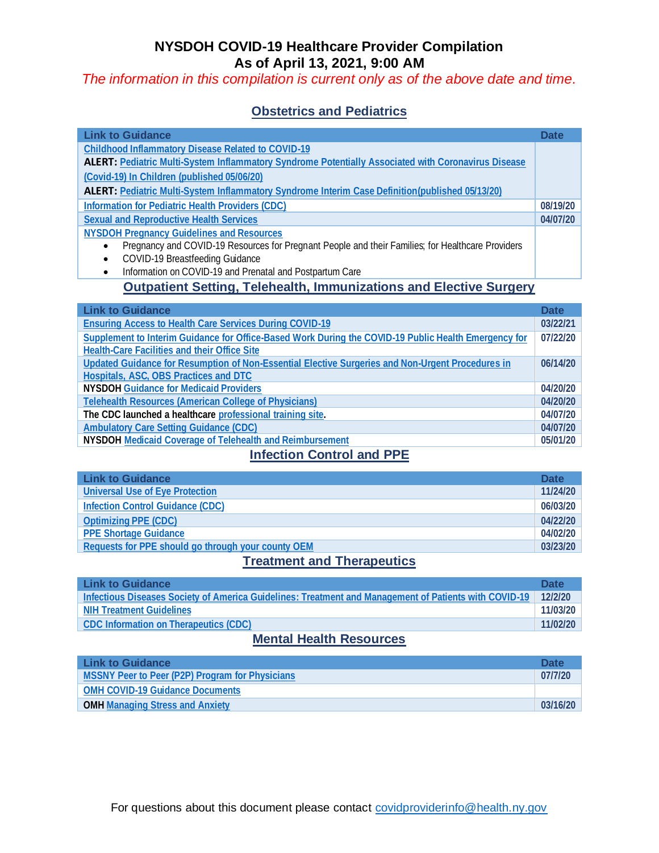## **NYSDOH COVID-19 Healthcare Provider Compilation As of April 13, 2021, 9:00 AM**

*The information in this compilation is current only as of the above date and time.* 

## **Obstetrics and Pediatrics**

| <b>Link to Guidance</b>                                                                                    | <b>Date</b> |
|------------------------------------------------------------------------------------------------------------|-------------|
| Childhood Inflammatory Disease Related to COVID-19                                                         |             |
| <b>ALERT: Pediatric Multi-System Inflammatory Syndrome Potentially Associated with Coronavirus Disease</b> |             |
| (Covid-19) In Children (published 05/06/20)                                                                |             |
| <b>ALERT:</b> Pediatric Multi-System Inflammatory Syndrome Interim Case Definition(published 05/13/20)     |             |
| Information for Pediatric Health Providers (CDC)                                                           | 08/19/20    |
| Sexual and Reproductive Health Services                                                                    | 04/07/20    |
| <b>NYSDOH Pregnancy Guidelines and Resources</b>                                                           |             |
| Pregnancy and COVID-19 Resources for Pregnant People and their Families; for Healthcare Providers          |             |
| COVID-19 Breastfeeding Guidance<br>٠                                                                       |             |
| Information on COVID-19 and Prenatal and Postpartum Care                                                   |             |

# **Outpatient Setting, Telehealth, Immunizations and Elective Surgery**

| <b>Link to Guidance</b>                                                                              | <b>Date</b> |
|------------------------------------------------------------------------------------------------------|-------------|
| <b>Ensuring Access to Health Care Services During COVID-19</b>                                       | 03/22/21    |
| Supplement to Interim Guidance for Office-Based Work During the COVID-19 Public Health Emergency for | 07/22/20    |
| Health-Care Facilities and their Office Site                                                         |             |
| Updated Guidance for Resumption of Non-Essential Elective Surgeries and Non-Urgent Procedures in     | 06/14/20    |
| Hospitals, ASC, OBS Practices and DTC                                                                |             |
| NYSDOH Guidance for Medicaid Providers                                                               | 04/20/20    |
| Telehealth Resources (American College of Physicians)                                                | 04/20/20    |
| The CDC launched a healthcare professional training site.                                            | 04/07/20    |
| Ambulatory Care Setting Guidance (CDC)                                                               | 04/07/20    |
| NYSDOH Medicaid Coverage of Telehealth and Reimbursement                                             | 05/01/20    |

## **Infection Control and PPE**

| <b>Link to Guidance</b>                            | <b>Date</b> |
|----------------------------------------------------|-------------|
| Universal Use of Eye Protection                    | 11/24/20    |
| <b>Infection Control Guidance (CDC)</b>            | 06/03/20    |
| Optimizing PPE (CDC)                               | 04/22/20    |
| <b>PPE Shortage Guidance</b>                       | 04/02/20    |
| Requests for PPE should go through your county OEM | 03/23/20    |

### **Treatment and Therapeutics**

| 12/2/20  |
|----------|
|          |
| 11/03/20 |
| 11/02/20 |
|          |

## **Mental Health Resources**

| <b>Link to Guidance</b>                         | <b>Date</b> |
|-------------------------------------------------|-------------|
| MSSNY Peer to Peer (P2P) Program for Physicians | 07/7/20     |
| <b>OMH COVID-19 Guidance Documents</b>          |             |
| <b>OMH Managing Stress and Anxiety</b>          | 03/16/20    |